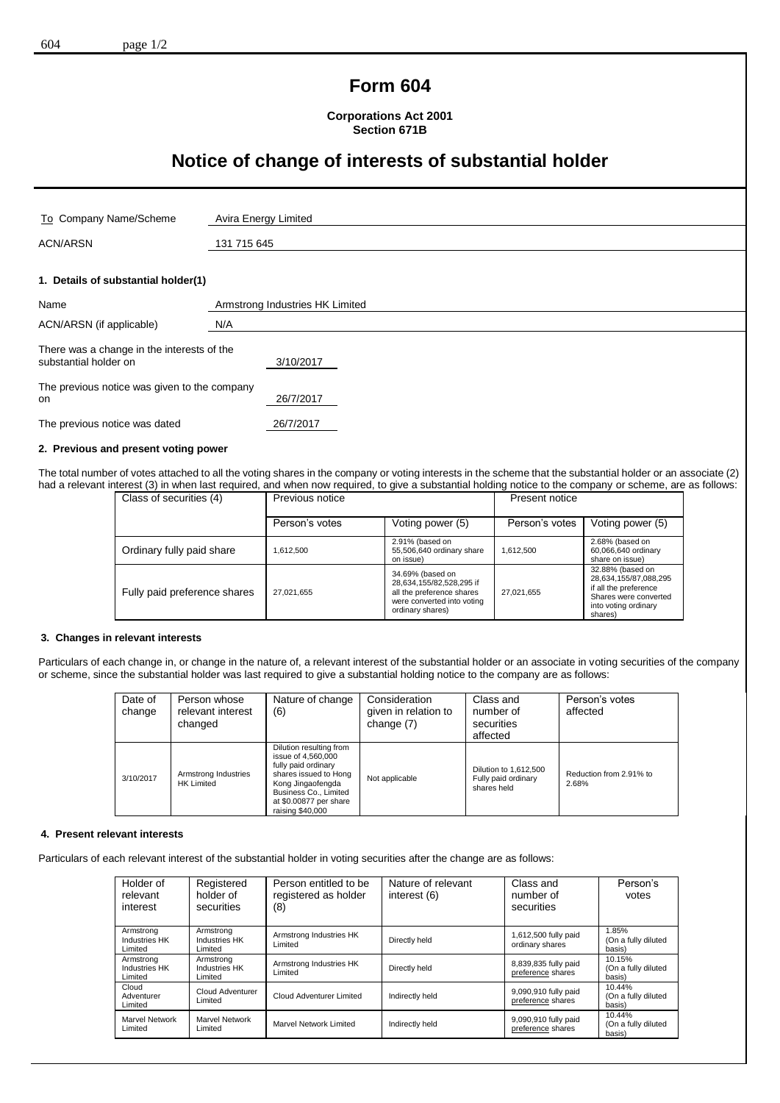## **Form 604**

**Corporations Act 2001 Section 671B**

# **Notice of change of interests of substantial holder**

| To Company Name/Scheme                                                           | Avira Energy Limited            |  |
|----------------------------------------------------------------------------------|---------------------------------|--|
| <b>ACN/ARSN</b>                                                                  | 131 715 645                     |  |
|                                                                                  |                                 |  |
| 1. Details of substantial holder(1)                                              |                                 |  |
| Name                                                                             | Armstrong Industries HK Limited |  |
| ACN/ARSN (if applicable)                                                         | N/A                             |  |
| There was a change in the interests of the<br>substantial holder on<br>3/10/2017 |                                 |  |
| The previous notice was given to the company<br>on                               | 26/7/2017                       |  |
| The previous notice was dated                                                    | 26/7/2017                       |  |

### **2. Previous and present voting power**

The total number of votes attached to all the voting shares in the company or voting interests in the scheme that the substantial holder or an associate (2) had a relevant interest (3) in when last required, and when now required, to give a substantial holding notice to the company or scheme, are as follows:

| Class of securities (4)      | Previous notice |                                                                                                                             | Present notice |                                                                                                                                |
|------------------------------|-----------------|-----------------------------------------------------------------------------------------------------------------------------|----------------|--------------------------------------------------------------------------------------------------------------------------------|
|                              | Person's votes  | Voting power (5)                                                                                                            | Person's votes | Voting power (5)                                                                                                               |
| Ordinary fully paid share    | 1.612.500       | 2.91% (based on<br>55,506,640 ordinary share<br>on issue)                                                                   | 1,612,500      | 2.68% (based on<br>60,066,640 ordinary<br>share on issue)                                                                      |
| Fully paid preference shares | 27,021,655      | 34.69% (based on<br>28,634,155/82,528,295 if<br>all the preference shares<br>were converted into voting<br>ordinary shares) | 27,021,655     | 32.88% (based on<br>28,634,155/87,088,295<br>if all the preference<br>Shares were converted<br>into voting ordinary<br>shares) |

#### **3. Changes in relevant interests**

Particulars of each change in, or change in the nature of, a relevant interest of the substantial holder or an associate in voting securities of the company or scheme, since the substantial holder was last required to give a substantial holding notice to the company are as follows:

| Date of<br>change | Person whose<br>relevant interest<br>changed | Nature of change<br>(6)                                                                                                                                                                   | Consideration<br>given in relation to<br>change (7) | Class and<br>number of<br>securities<br>affected            | Person's votes<br>affected       |
|-------------------|----------------------------------------------|-------------------------------------------------------------------------------------------------------------------------------------------------------------------------------------------|-----------------------------------------------------|-------------------------------------------------------------|----------------------------------|
| 3/10/2017         | Armstrong Industries<br><b>HK Limited</b>    | Dilution resulting from<br>issue of 4,560,000<br>fully paid ordinary<br>shares issued to Hong<br>Kong Jingaofengda<br>Business Co., Limited<br>at \$0.00877 per share<br>raising \$40,000 | Not applicable                                      | Dilution to 1,612,500<br>Fully paid ordinary<br>shares held | Reduction from 2.91% to<br>2.68% |

#### **4. Present relevant interests**

Particulars of each relevant interest of the substantial holder in voting securities after the change are as follows:

| Holder of<br>relevant<br>interest            | Registered<br>holder of<br>securities        | Person entitled to be<br>registered as holder<br>(8) | Nature of relevant<br>interest (6) | Class and<br>number of<br>securities      | Person's<br>votes                       |
|----------------------------------------------|----------------------------------------------|------------------------------------------------------|------------------------------------|-------------------------------------------|-----------------------------------------|
| Armstrong<br><b>Industries HK</b><br>Limited | Armstrong<br><b>Industries HK</b><br>Limited | Armstrong Industries HK<br>Limited                   | Directly held                      | 1,612,500 fully paid<br>ordinary shares   | 1.85%<br>(On a fully diluted<br>basis)  |
| Armstrong<br><b>Industries HK</b><br>Limited | Armstrong<br><b>Industries HK</b><br>Limited | Armstrong Industries HK<br>Limited                   | Directly held                      | 8,839,835 fully paid<br>preference shares | 10.15%<br>(On a fully diluted<br>basis) |
| Cloud<br>Adventurer<br>Limited               | Cloud Adventurer<br>Limited                  | Cloud Adventurer Limited                             | Indirectly held                    | 9,090,910 fully paid<br>preference shares | 10.44%<br>(On a fully diluted<br>basis) |
| Marvel Network<br>Limited                    | Marvel Network<br>Limited                    | Marvel Network Limited                               | Indirectly held                    | 9,090,910 fully paid<br>preference shares | 10.44%<br>(On a fully diluted<br>basis) |